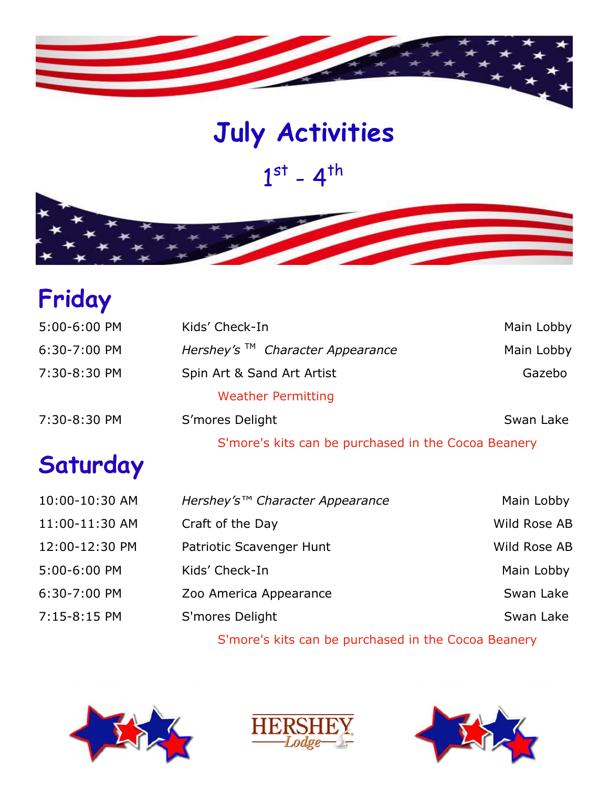

# $1^{st}$  -  $4^{th}$ **July Activities**

## **Friday**

| 5:00-6:00 PM   | Kids' Check-In                                      | Main Lobby   |
|----------------|-----------------------------------------------------|--------------|
| 6:30-7:00 PM   | Hershey's $TM$ Character Appearance                 | Main Lobby   |
| 7:30-8:30 PM   | Spin Art & Sand Art Artist                          | Gazebo       |
|                | <b>Weather Permitting</b>                           |              |
| 7:30-8:30 PM   | S'mores Delight                                     | Swan Lake    |
|                | S'more's kits can be purchased in the Cocoa Beanery |              |
| Saturday       |                                                     |              |
| 10:00-10:30 AM | Hershey's™ Character Appearance                     | Main Lobby   |
| 11:00-11:30 AM | Craft of the Day                                    | Wild Rose AB |
| 12:00-12:30 PM | Patriotic Scavenger Hunt                            | Wild Rose AB |
| 5:00-6:00 PM   | Kids' Check-In                                      | Main Lobby   |
| 6:30-7:00 PM   | Zoo America Appearance                              | Swan Lake    |
| 7:15-8:15 PM   | S'mores Delight                                     | Swan Lake    |
|                |                                                     |              |

S'more's kits can be purchased in the Cocoa Beanery





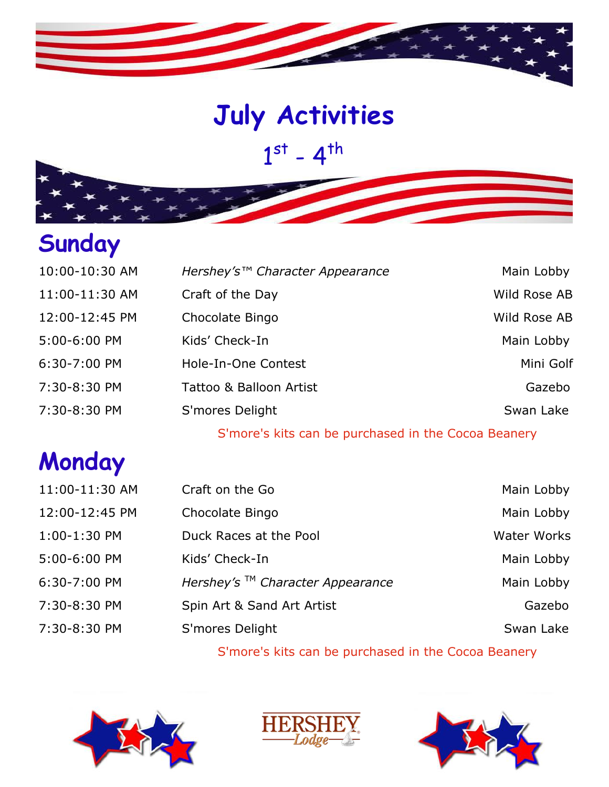

# **July Activities July Activities**

 $1^{st} - 4^{th}$ 

# **Sunday**

| 10:00-10:30 AM | Hershey's™ Character Appearance | Main Lobby   |
|----------------|---------------------------------|--------------|
| 11:00-11:30 AM | Craft of the Day                | Wild Rose AB |
| 12:00-12:45 PM | Chocolate Bingo                 | Wild Rose AB |
| 5:00-6:00 PM   | Kids' Check-In                  | Main Lobby   |
| 6:30-7:00 PM   | Hole-In-One Contest             | Mini Golf    |
| 7:30-8:30 PM   | Tattoo & Balloon Artist         | Gazebo       |
| 7:30-8:30 PM   | S'mores Delight                 | Swan Lake    |
|                |                                 |              |

S'more's kits can be purchased in the Cocoa Beanery

### **Monday**

| 11:00-11:30 AM | Craft on the Go                     | Main Lobby  |
|----------------|-------------------------------------|-------------|
| 12:00-12:45 PM | Chocolate Bingo                     | Main Lobby  |
| 1:00-1:30 PM   | Duck Races at the Pool              | Water Works |
| 5:00-6:00 PM   | Kids' Check-In                      | Main Lobby  |
| 6:30-7:00 PM   | Hershey's $TM$ Character Appearance | Main Lobby  |
| 7:30-8:30 PM   | Spin Art & Sand Art Artist          | Gazebo      |
| 7:30-8:30 PM   | S'mores Delight                     | Swan Lake   |
|                |                                     |             |

S'more's kits can be purchased in the Cocoa Beanery